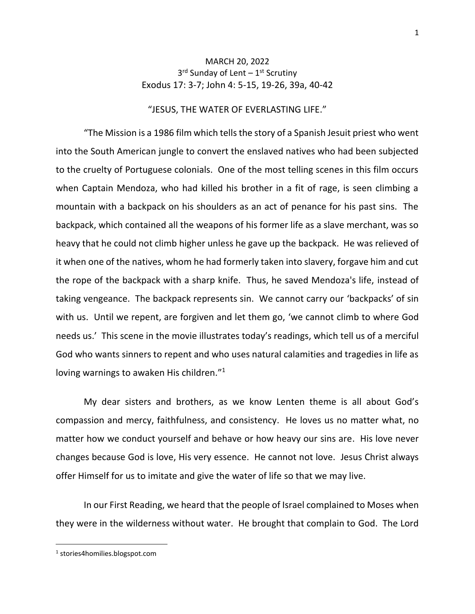## MARCH 20, 2022 3<sup>rd</sup> Sunday of Lent – 1<sup>st</sup> Scrutiny Exodus 17: 3-7; John 4: 5-15, 19-26, 39a, 40-42

## "JESUS, THE WATER OF EVERLASTING LIFE."

"The Mission is a 1986 film which tells the story of a Spanish Jesuit priest who went into the South American jungle to convert the enslaved natives who had been subjected to the cruelty of Portuguese colonials. One of the most telling scenes in this film occurs when Captain Mendoza, who had killed his brother in a fit of rage, is seen climbing a mountain with a backpack on his shoulders as an act of penance for his past sins. The backpack, which contained all the weapons of his former life as a slave merchant, was so heavy that he could not climb higher unless he gave up the backpack. He was relieved of it when one of the natives, whom he had formerly taken into slavery, forgave him and cut the rope of the backpack with a sharp knife. Thus, he saved Mendoza's life, instead of taking vengeance. The backpack represents sin. We cannot carry our 'backpacks' of sin with us. Until we repent, are forgiven and let them go, 'we cannot climb to where God needs us.' This scene in the movie illustrates today's readings, which tell us of a merciful God who wants sinners to repent and who uses natural calamities and tragedies in life as loving warnings to awaken His children."<sup>1</sup>

My dear sisters and brothers, as we know Lenten theme is all about God's compassion and mercy, faithfulness, and consistency. He loves us no matter what, no matter how we conduct yourself and behave or how heavy our sins are. His love never changes because God is love, His very essence. He cannot not love. Jesus Christ always offer Himself for us to imitate and give the water of life so that we may live.

In our First Reading, we heard that the people of Israel complained to Moses when they were in the wilderness without water. He brought that complain to God. The Lord

<sup>1</sup> stories4homilies.blogspot.com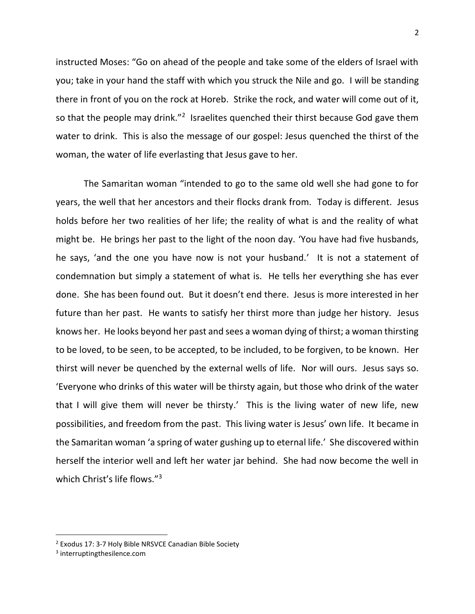instructed Moses: "Go on ahead of the people and take some of the elders of Israel with you; take in your hand the staff with which you struck the Nile and go. I will be standing there in front of you on the rock at Horeb. Strike the rock, and water will come out of it, so that the people may drink."<sup>2</sup> Israelites quenched their thirst because God gave them water to drink. This is also the message of our gospel: Jesus quenched the thirst of the woman, the water of life everlasting that Jesus gave to her.

The Samaritan woman "intended to go to the same old well she had gone to for years, the well that her ancestors and their flocks drank from. Today is different. Jesus holds before her two realities of her life; the reality of what is and the reality of what might be. He brings her past to the light of the noon day. 'You have had five husbands, he says, 'and the one you have now is not your husband.' It is not a statement of condemnation but simply a statement of what is. He tells her everything she has ever done. She has been found out. But it doesn't end there. Jesus is more interested in her future than her past. He wants to satisfy her thirst more than judge her history. Jesus knows her. He looks beyond her past and sees a woman dying of thirst; a woman thirsting to be loved, to be seen, to be accepted, to be included, to be forgiven, to be known. Her thirst will never be quenched by the external wells of life. Nor will ours. Jesus says so. 'Everyone who drinks of this water will be thirsty again, but those who drink of the water that I will give them will never be thirsty.' This is the living water of new life, new possibilities, and freedom from the past. This living water is Jesus' own life. It became in the Samaritan woman 'a spring of water gushing up to eternal life.' She discovered within herself the interior well and left her water jar behind. She had now become the well in which Christ's life flows."<sup>3</sup>

<sup>2</sup> Exodus 17: 3-7 Holy Bible NRSVCE Canadian Bible Society

<sup>3</sup> interruptingthesilence.com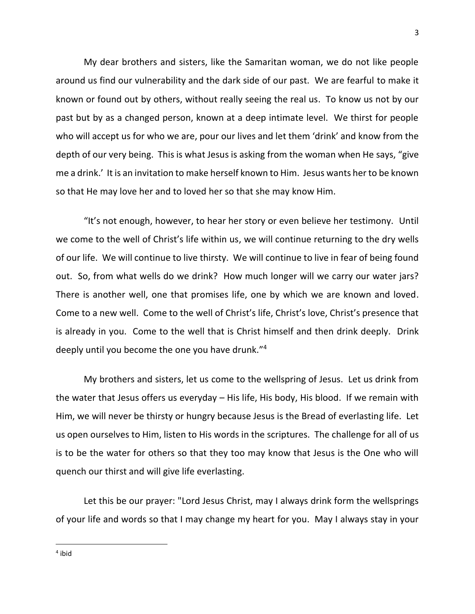My dear brothers and sisters, like the Samaritan woman, we do not like people around us find our vulnerability and the dark side of our past. We are fearful to make it known or found out by others, without really seeing the real us. To know us not by our past but by as a changed person, known at a deep intimate level. We thirst for people who will accept us for who we are, pour our lives and let them 'drink' and know from the depth of our very being. This is what Jesus is asking from the woman when He says, "give me a drink.' It is an invitation to make herself known to Him. Jesus wants her to be known so that He may love her and to loved her so that she may know Him.

"It's not enough, however, to hear her story or even believe her testimony. Until we come to the well of Christ's life within us, we will continue returning to the dry wells of our life. We will continue to live thirsty. We will continue to live in fear of being found out. So, from what wells do we drink? How much longer will we carry our water jars? There is another well, one that promises life, one by which we are known and loved. Come to a new well. Come to the well of Christ's life, Christ's love, Christ's presence that is already in you. Come to the well that is Christ himself and then drink deeply. Drink deeply until you become the one you have drunk."<sup>4</sup>

My brothers and sisters, let us come to the wellspring of Jesus. Let us drink from the water that Jesus offers us everyday – His life, His body, His blood. If we remain with Him, we will never be thirsty or hungry because Jesus is the Bread of everlasting life. Let us open ourselves to Him, listen to His words in the scriptures. The challenge for all of us is to be the water for others so that they too may know that Jesus is the One who will quench our thirst and will give life everlasting.

Let this be our prayer: "Lord Jesus Christ, may I always drink form the wellsprings of your life and words so that I may change my heart for you. May I always stay in your

4 ibid